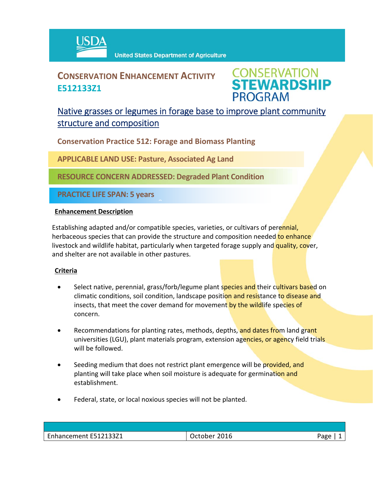

## **CONSERVATION ENHANCEMENT ACTIVITY E512133Z1**



### Native grasses or legumes in forage base to improve plant community structure and composition

**Conservation Practice 512: Forage and Biomass Planting**

**APPLICABLE LAND USE: Pasture, Associated Ag Land**

**RESOURCE CONCERN ADDRESSED: Degraded Plant Condition**

 $\hat{a}$ 

**PRACTICE LIFE SPAN: 5 years**

#### **Enhancement Description**

Establishing adapted and/or compatible species, varieties, or cultivars of perennial, herbaceous species that can provide the structure and composition needed to enhance livestock and wildlife habitat, particularly when targeted forage supply and **quality, cover,** and shelter are not available in other pastures.

#### **Criteria**

- Select native, perennial, grass/forb/legume plant species and their cultivars based on climatic conditions, soil condition, landscape position and resistance to disease and insects, that meet the cover demand for movement by the wildlife species of concern.
- **•** Recommendations for planting rates, methods, depths, and dates from land grant universities (LGU), plant materials program, extension agencies, or agency field trials will be followed.
- **Seeding medium that does not restrict plant emergence will be provided, and** planting will take place when soil moisture is adequate for germination and establishment.
- Federal, state, or local noxious species will not be planted.

| Enhancement E512133Z1 | October 2016 | Page |
|-----------------------|--------------|------|